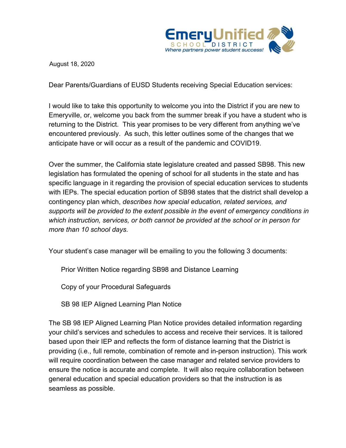

August 18, 2020

Dear Parents/Guardians of EUSD Students receiving Special Education services:

I would like to take this opportunity to welcome you into the District if you are new to Emeryville, or, welcome you back from the summer break if you have a student who is returning to the District. This year promises to be very different from anything we've encountered previously. As such, this letter outlines some of the changes that we anticipate have or will occur as a result of the pandemic and COVID19.

Over the summer, the California state legislature created and passed SB98. This new legislation has formulated the opening of school for all students in the state and has specific language in it regarding the provision of special education services to students with IEPs. The special education portion of SB98 states that the district shall develop a contingency plan which, *describes how special education, related services, and supports will be provided to the extent possible in the event of emergency conditions in which instruction, services, or both cannot be provided at the school or in person for more than 10 school days.*

Your student's case manager will be emailing to you the following 3 documents:

Prior Written Notice regarding SB98 and Distance Learning

Copy of your Procedural Safeguards

SB 98 IEP Aligned Learning Plan Notice

The SB 98 IEP Aligned Learning Plan Notice provides detailed information regarding your child's services and schedules to access and receive their services. It is tailored based upon their IEP and reflects the form of distance learning that the District is providing (i.e., full remote, combination of remote and in-person instruction). This work will require coordination between the case manager and related service providers to ensure the notice is accurate and complete. It will also require collaboration between general education and special education providers so that the instruction is as seamless as possible.